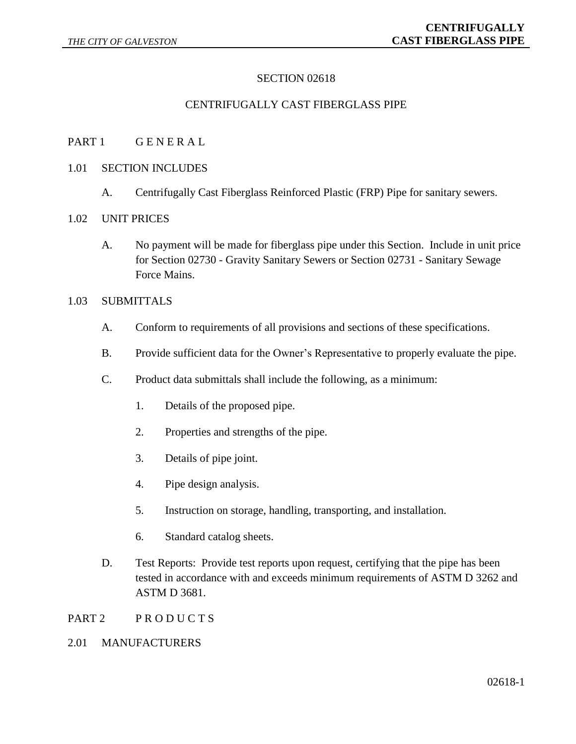# SECTION 02618

#### CENTRIFUGALLY CAST FIBERGLASS PIPE

PART 1 GENERAL

#### 1.01 SECTION INCLUDES

A. Centrifugally Cast Fiberglass Reinforced Plastic (FRP) Pipe for sanitary sewers.

#### 1.02 UNIT PRICES

A. No payment will be made for fiberglass pipe under this Section. Include in unit price for Section 02730 - Gravity Sanitary Sewers or Section 02731 - Sanitary Sewage Force Mains.

#### 1.03 SUBMITTALS

- A. Conform to requirements of all provisions and sections of these specifications.
- B. Provide sufficient data for the Owner's Representative to properly evaluate the pipe.
- C. Product data submittals shall include the following, as a minimum:
	- 1. Details of the proposed pipe.
	- 2. Properties and strengths of the pipe.
	- 3. Details of pipe joint.
	- 4. Pipe design analysis.
	- 5. Instruction on storage, handling, transporting, and installation.
	- 6. Standard catalog sheets.
- D. Test Reports: Provide test reports upon request, certifying that the pipe has been tested in accordance with and exceeds minimum requirements of ASTM D 3262 and ASTM D 3681.
- PART 2 PRODUCTS

#### 2.01 MANUFACTURERS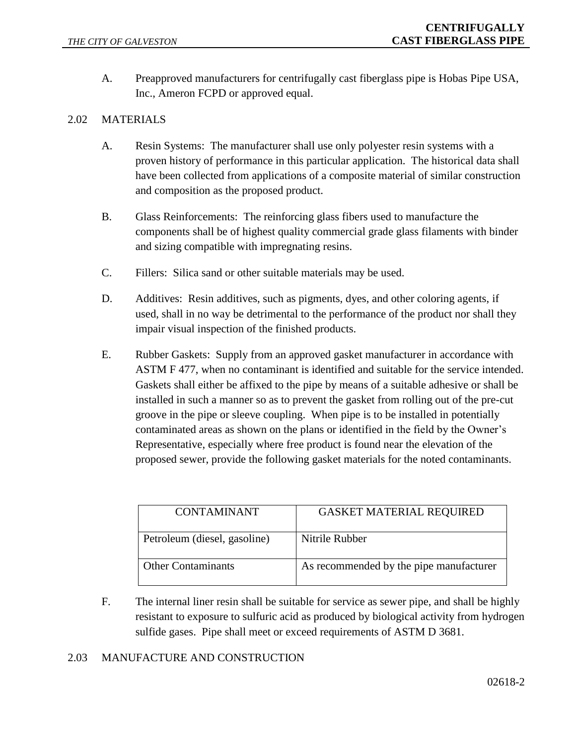A. Preapproved manufacturers for centrifugally cast fiberglass pipe is Hobas Pipe USA, Inc., Ameron FCPD or approved equal.

# 2.02 MATERIALS

- A. Resin Systems: The manufacturer shall use only polyester resin systems with a proven history of performance in this particular application. The historical data shall have been collected from applications of a composite material of similar construction and composition as the proposed product.
- B. Glass Reinforcements: The reinforcing glass fibers used to manufacture the components shall be of highest quality commercial grade glass filaments with binder and sizing compatible with impregnating resins.
- C. Fillers: Silica sand or other suitable materials may be used.
- D. Additives: Resin additives, such as pigments, dyes, and other coloring agents, if used, shall in no way be detrimental to the performance of the product nor shall they impair visual inspection of the finished products.
- E. Rubber Gaskets: Supply from an approved gasket manufacturer in accordance with ASTM F 477, when no contaminant is identified and suitable for the service intended. Gaskets shall either be affixed to the pipe by means of a suitable adhesive or shall be installed in such a manner so as to prevent the gasket from rolling out of the pre-cut groove in the pipe or sleeve coupling. When pipe is to be installed in potentially contaminated areas as shown on the plans or identified in the field by the Owner's Representative, especially where free product is found near the elevation of the proposed sewer, provide the following gasket materials for the noted contaminants.

| <b>CONTAMINANT</b>           | <b>GASKET MATERIAL REQUIRED</b>         |
|------------------------------|-----------------------------------------|
| Petroleum (diesel, gasoline) | Nitrile Rubber                          |
| <b>Other Contaminants</b>    | As recommended by the pipe manufacturer |

F. The internal liner resin shall be suitable for service as sewer pipe, and shall be highly resistant to exposure to sulfuric acid as produced by biological activity from hydrogen sulfide gases. Pipe shall meet or exceed requirements of ASTM D 3681.

### 2.03 MANUFACTURE AND CONSTRUCTION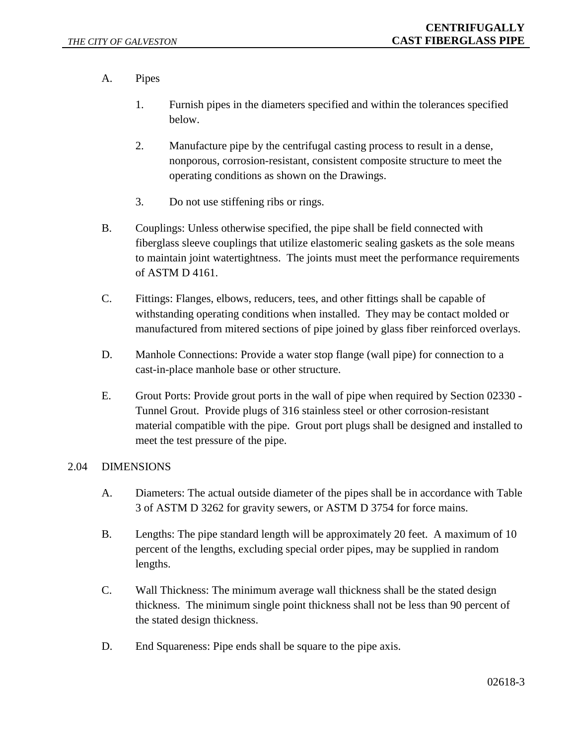- A. Pipes
	- 1. Furnish pipes in the diameters specified and within the tolerances specified below.
	- 2. Manufacture pipe by the centrifugal casting process to result in a dense, nonporous, corrosion-resistant, consistent composite structure to meet the operating conditions as shown on the Drawings.
	- 3. Do not use stiffening ribs or rings.
- B. Couplings: Unless otherwise specified, the pipe shall be field connected with fiberglass sleeve couplings that utilize elastomeric sealing gaskets as the sole means to maintain joint watertightness. The joints must meet the performance requirements of ASTM D 4161.
- C. Fittings: Flanges, elbows, reducers, tees, and other fittings shall be capable of withstanding operating conditions when installed. They may be contact molded or manufactured from mitered sections of pipe joined by glass fiber reinforced overlays.
- D. Manhole Connections: Provide a water stop flange (wall pipe) for connection to a cast-in-place manhole base or other structure.
- E. Grout Ports: Provide grout ports in the wall of pipe when required by Section 02330 Tunnel Grout. Provide plugs of 316 stainless steel or other corrosion-resistant material compatible with the pipe. Grout port plugs shall be designed and installed to meet the test pressure of the pipe.

### 2.04 DIMENSIONS

- A. Diameters: The actual outside diameter of the pipes shall be in accordance with Table 3 of ASTM D 3262 for gravity sewers, or ASTM D 3754 for force mains.
- B. Lengths: The pipe standard length will be approximately 20 feet. A maximum of 10 percent of the lengths, excluding special order pipes, may be supplied in random lengths.
- C. Wall Thickness: The minimum average wall thickness shall be the stated design thickness. The minimum single point thickness shall not be less than 90 percent of the stated design thickness.
- D. End Squareness: Pipe ends shall be square to the pipe axis.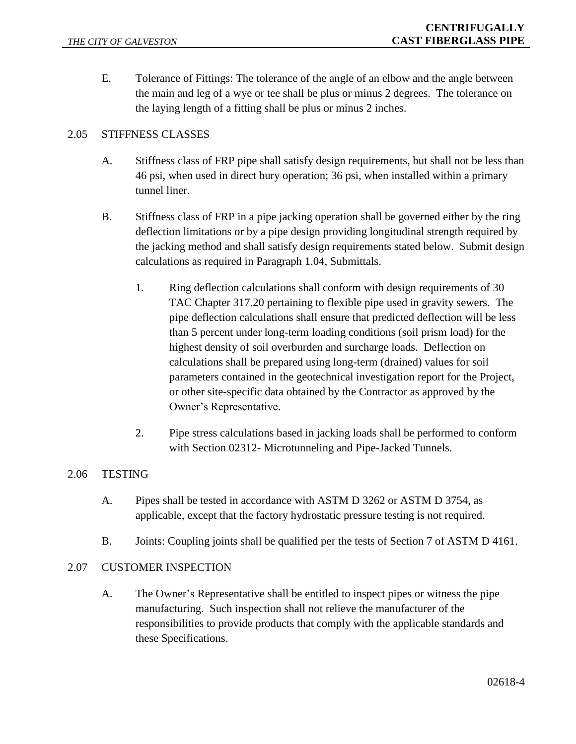E. Tolerance of Fittings: The tolerance of the angle of an elbow and the angle between the main and leg of a wye or tee shall be plus or minus 2 degrees. The tolerance on the laying length of a fitting shall be plus or minus 2 inches.

# 2.05 STIFFNESS CLASSES

- A. Stiffness class of FRP pipe shall satisfy design requirements, but shall not be less than 46 psi, when used in direct bury operation; 36 psi, when installed within a primary tunnel liner.
- B. Stiffness class of FRP in a pipe jacking operation shall be governed either by the ring deflection limitations or by a pipe design providing longitudinal strength required by the jacking method and shall satisfy design requirements stated below. Submit design calculations as required in Paragraph 1.04, Submittals.
	- 1. Ring deflection calculations shall conform with design requirements of 30 TAC Chapter 317.20 pertaining to flexible pipe used in gravity sewers. The pipe deflection calculations shall ensure that predicted deflection will be less than 5 percent under long-term loading conditions (soil prism load) for the highest density of soil overburden and surcharge loads. Deflection on calculations shall be prepared using long-term (drained) values for soil parameters contained in the geotechnical investigation report for the Project, or other site-specific data obtained by the Contractor as approved by the Owner's Representative.
	- 2. Pipe stress calculations based in jacking loads shall be performed to conform with Section 02312- Microtunneling and Pipe-Jacked Tunnels.

### 2.06 TESTING

- A. Pipes shall be tested in accordance with ASTM D 3262 or ASTM D 3754, as applicable, except that the factory hydrostatic pressure testing is not required.
- B. Joints: Coupling joints shall be qualified per the tests of Section 7 of ASTM D 4161.

### 2.07 CUSTOMER INSPECTION

A. The Owner's Representative shall be entitled to inspect pipes or witness the pipe manufacturing. Such inspection shall not relieve the manufacturer of the responsibilities to provide products that comply with the applicable standards and these Specifications.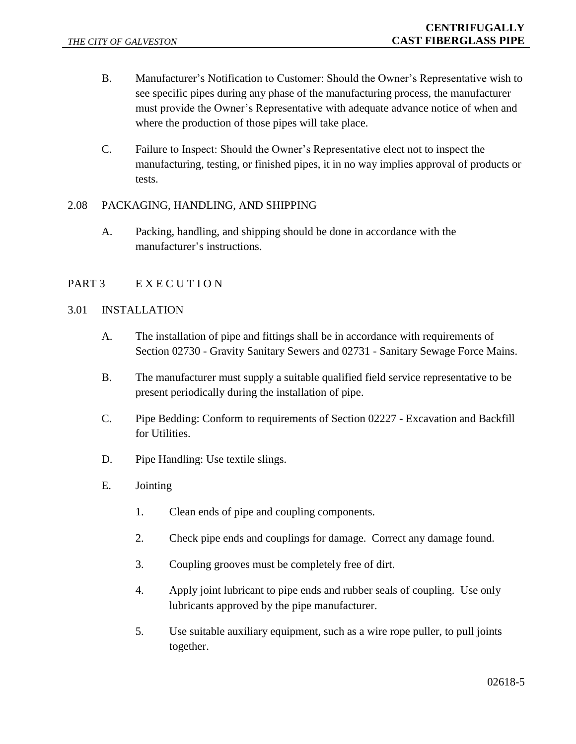- B. Manufacturer's Notification to Customer: Should the Owner's Representative wish to see specific pipes during any phase of the manufacturing process, the manufacturer must provide the Owner's Representative with adequate advance notice of when and where the production of those pipes will take place.
- C. Failure to Inspect: Should the Owner's Representative elect not to inspect the manufacturing, testing, or finished pipes, it in no way implies approval of products or tests.

### 2.08 PACKAGING, HANDLING, AND SHIPPING

A. Packing, handling, and shipping should be done in accordance with the manufacturer's instructions.

# PART 3 EXECUTION

## 3.01 INSTALLATION

- A. The installation of pipe and fittings shall be in accordance with requirements of Section 02730 - Gravity Sanitary Sewers and 02731 - Sanitary Sewage Force Mains.
- B. The manufacturer must supply a suitable qualified field service representative to be present periodically during the installation of pipe.
- C. Pipe Bedding: Conform to requirements of Section 02227 Excavation and Backfill for Utilities.
- D. Pipe Handling: Use textile slings.
- E. Jointing
	- 1. Clean ends of pipe and coupling components.
	- 2. Check pipe ends and couplings for damage. Correct any damage found.
	- 3. Coupling grooves must be completely free of dirt.
	- 4. Apply joint lubricant to pipe ends and rubber seals of coupling. Use only lubricants approved by the pipe manufacturer.
	- 5. Use suitable auxiliary equipment, such as a wire rope puller, to pull joints together.